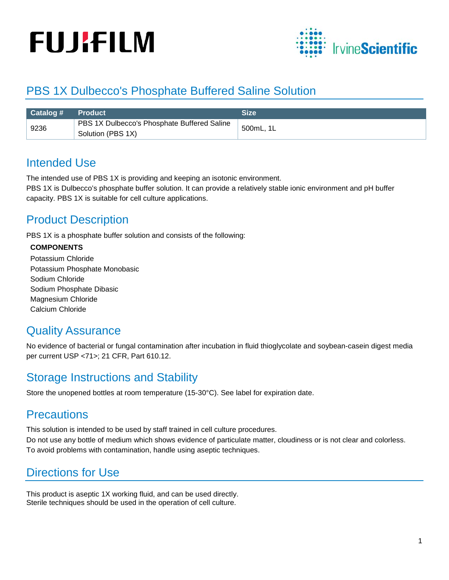# **FUJIFILM**



## PBS 1X Dulbecco's Phosphate Buffered Saline Solution

| <b>Catalog # Product</b> |                                                                  | <b>Size</b> |
|--------------------------|------------------------------------------------------------------|-------------|
| 9236                     | PBS 1X Dulbecco's Phosphate Buffered Saline<br>Solution (PBS 1X) | 500mL, 1L   |

### Intended Use

The intended use of PBS 1X is providing and keeping an isotonic environment.

PBS 1X is Dulbecco's phosphate buffer solution. It can provide a relatively stable ionic environment and pH buffer capacity. PBS 1X is suitable for cell culture applications.

## Product Description

PBS 1X is a phosphate buffer solution and consists of the following:

#### **COMPONENTS**

Potassium Chloride [Potassium Phosphate](http://www.baidu.com/link?url=JzmaIiCKizIEzKgBSx98pC_nSxXL5vjyXHjTIAbbDzX7PNIItoZwOGSOtN_u1y52ZgYKXSJR6mNRGTrx5Hpyojj0s4YaYlIbd7zi0W6MMCbHiRQSw98rJmw_Nb9bM3ru) Monobasic Sodium Chloride Sodium Phosphate Dibasic Magnesium Chloride Calcium Chloride

### Quality Assurance

No evidence of bacterial or fungal contamination after incubation in fluid thioglycolate and soybean-casein digest media per current USP <71>; 21 CFR, Part 610.12.

### Storage Instructions and Stability

Store the unopened bottles at room temperature (15-30°C). See label for expiration date.

#### **Precautions**

This solution is intended to be used by staff trained in cell culture procedures. Do not use any bottle of medium which shows evidence of particulate matter, cloudiness or is not clear and colorless. To avoid problems with contamination, handle using aseptic techniques.

## Directions for Use

This product is aseptic 1X working fluid, and can be used directly. Sterile techniques should be used in the operation of cell culture.